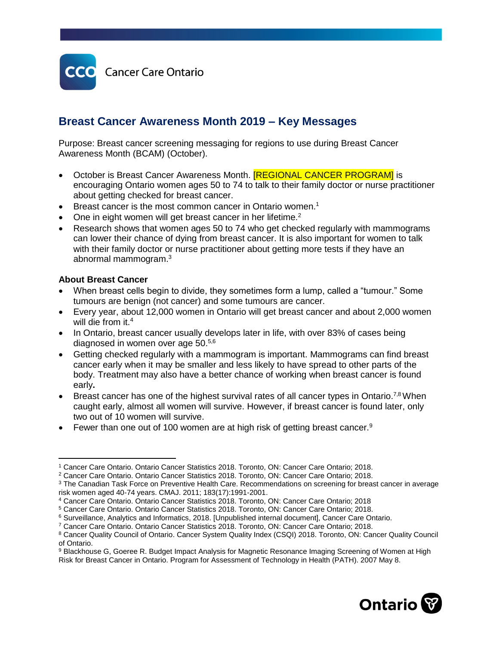

# **Breast Cancer Awareness Month 2019 – Key Messages**

Purpose: Breast cancer screening messaging for regions to use during Breast Cancer Awareness Month (BCAM) (October).

- October is Breast Cancer Awareness Month. **[REGIONAL CANCER PROGRAM]** is encouraging Ontario women ages 50 to 74 to talk to their family doctor or nurse practitioner about getting checked for breast cancer.
- Breast cancer is the most common cancer in Ontario women.<sup>1</sup>
- One in eight women will get breast cancer in her lifetime.<sup>2</sup>
- Research shows that women ages 50 to 74 who get checked regularly with mammograms can lower their chance of dying from breast cancer. It is also important for women to talk with their family doctor or nurse practitioner about getting more tests if they have an abnormal mammogram. 3

#### **About Breast Cancer**

- When breast cells begin to divide, they sometimes form a lump, called a "tumour." Some tumours are benign (not cancer) and some tumours are cancer.
- Every year, about 12,000 women in Ontario will get breast cancer and about 2,000 women will die from it.<sup>4</sup>
- In Ontario, breast cancer usually develops later in life, with over 83% of cases being diagnosed in women over age 50.<sup>5,6</sup>
- Getting checked regularly with a mammogram is important. Mammograms can find breast cancer early when it may be smaller and less likely to have spread to other parts of the body. Treatment may also have a better chance of working when breast cancer is found early**.**
- **Breast cancer has one of the highest survival rates of all cancer types in Ontario.**<sup>7,8</sup> When caught early, almost all women will survive. However, if breast cancer is found later, only two out of 10 women will survive.
- Fewer than one out of 100 women are at high risk of getting breast cancer.<sup>9</sup>

<sup>9</sup> Blackhouse G, Goeree R. Budget Impact Analysis for Magnetic Resonance Imaging Screening of Women at High Risk for Breast Cancer in Ontario. Program for Assessment of Technology in Health (PATH). 2007 May 8.



 $\overline{a}$ <sup>1</sup> Cancer Care Ontario. Ontario Cancer Statistics 2018. Toronto, ON: Cancer Care Ontario; 2018.

<sup>2</sup> Cancer Care Ontario. Ontario Cancer Statistics 2018. Toronto, ON: Cancer Care Ontario; 2018.

<sup>&</sup>lt;sup>3</sup> The Canadian Task Force on Preventive Health Care. Recommendations on screening for breast cancer in average risk women aged 40-74 years. CMAJ. 2011; 183(17):1991-2001.

<sup>4</sup> Cancer Care Ontario. Ontario Cancer Statistics 2018. Toronto, ON: Cancer Care Ontario; 2018

<sup>5</sup> Cancer Care Ontario. Ontario Cancer Statistics 2018. Toronto, ON: Cancer Care Ontario; 2018.

<sup>6</sup> Surveillance, Analytics and Informatics, 2018. [Unpublished internal document], Cancer Care Ontario.

<sup>7</sup> Cancer Care Ontario. Ontario Cancer Statistics 2018. Toronto, ON: Cancer Care Ontario; 2018.

<sup>8</sup> Cancer Quality Council of Ontario. Cancer System Quality Index (CSQI) 2018. Toronto, ON: Cancer Quality Council of Ontario.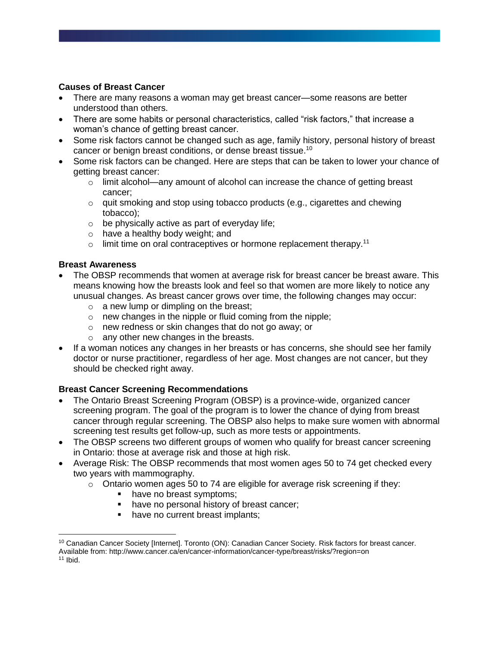## **Causes of Breast Cancer**

- There are many reasons a woman may get breast cancer—some reasons are better understood than others.
- There are some habits or personal characteristics, called "risk factors," that increase a woman's chance of getting breast cancer.
- Some risk factors cannot be changed such as age, family history, personal history of breast cancer or benign breast conditions, or dense breast tissue.<sup>10</sup>
- Some risk factors can be changed. Here are steps that can be taken to lower your chance of getting breast cancer:
	- $\circ$  limit alcohol—any amount of alcohol can increase the chance of getting breast cancer;
	- $\circ$  quit smoking and stop using tobacco products (e.g., cigarettes and chewing tobacco);
	- $\circ$  be physically active as part of everyday life;
	- o have a healthy body weight; and
	- $\circ$  limit time on oral contraceptives or hormone replacement therapy.<sup>11</sup>

### **Breast Awareness**

- The OBSP recommends that women at average risk for breast cancer be breast aware. This means knowing how the breasts look and feel so that women are more likely to notice any unusual changes. As breast cancer grows over time, the following changes may occur:
	- $\circ$  a new lump or dimpling on the breast;
	- o new changes in the nipple or fluid coming from the nipple;
	- o new redness or skin changes that do not go away; or
	- o any other new changes in the breasts.
- If a woman notices any changes in her breasts or has concerns, she should see her family doctor or nurse practitioner, regardless of her age. Most changes are not cancer, but they should be checked right away.

### **Breast Cancer Screening Recommendations**

- The Ontario Breast Screening Program (OBSP) is a province-wide, organized cancer screening program. The goal of the program is to lower the chance of dying from breast cancer through regular screening. The OBSP also helps to make sure women with abnormal screening test results get follow-up, such as more tests or appointments.
- The OBSP screens two different groups of women who qualify for breast cancer screening in Ontario: those at average risk and those at high risk.
- Average Risk: The OBSP recommends that most women ages 50 to 74 get checked every two years with mammography.
	- o Ontario women ages 50 to 74 are eligible for average risk screening if they:
		- have no breast symptoms:
		- have no personal history of breast cancer;
		- have no current breast implants;

 $\overline{a}$ 

<sup>10</sup> Canadian Cancer Society [Internet]. Toronto (ON): Canadian Cancer Society. Risk factors for breast cancer. Available from: http://www.cancer.ca/en/cancer-information/cancer-type/breast/risks/?region=on

 $11$  Ibid.